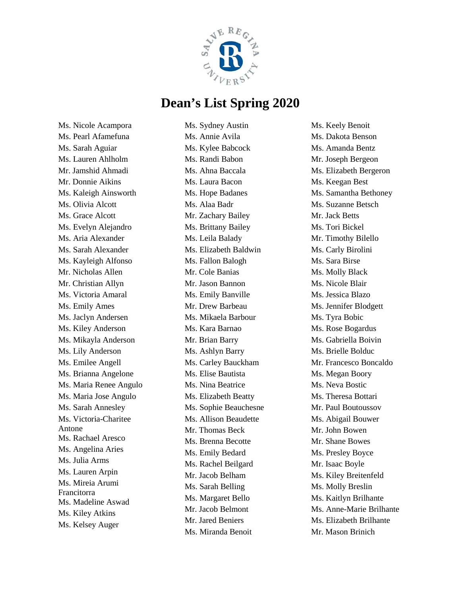

Ms. Nicole Acampora Ms. Pearl Afamefuna Ms. Sarah Aguiar Ms. Lauren Ahlholm Mr. Jamshid Ahmadi Mr. Donnie Aikins Ms. Kaleigh Ainsworth Ms. Olivia Alcott Ms. Grace Alcott Ms. Evelyn Alejandro Ms. Aria Alexander Ms. Sarah Alexander Ms. Kayleigh Alfonso Mr. Nicholas Allen Mr. Christian Allyn Ms. Victoria Amaral Ms. Emily Ames Ms. Jaclyn Andersen Ms. Kiley Anderson Ms. Mikayla Anderson Ms. Lily Anderson Ms. Emilee Angell Ms. Brianna Angelone Ms. Maria Renee Angulo Ms. Maria Jose Angulo Ms. Sarah Annesley Ms. Victoria-Charitee Antone Ms. Rachael Aresco Ms. Angelina Aries Ms. Julia Arms Ms. Lauren Arpin Ms. Mireia Arumi Francitorra Ms. Madeline Aswad Ms. Kiley Atkins Ms. Kelsey Auger

Ms. Sydney Austin Ms. Annie Avila Ms. Kylee Babcock Ms. Randi Babon Ms. Ahna Baccala Ms. Laura Bacon Ms. Hope Badanes Ms. Alaa Badr Mr. Zachary Bailey Ms. Brittany Bailey Ms. Leila Balady Ms. Elizabeth Baldwin Ms. Fallon Balogh Mr. Cole Banias Mr. Jason Bannon Ms. Emily Banville Mr. Drew Barbeau Ms. Mikaela Barbour Ms. Kara Barnao Mr. Brian Barry Ms. Ashlyn Barry Ms. Carley Bauckham Ms. Elise Bautista Ms. Nina Beatrice Ms. Elizabeth Beatty Ms. Sophie Beauchesne Ms. Allison Beaudette Mr. Thomas Beck Ms. Brenna Becotte Ms. Emily Bedard Ms. Rachel Beilgard Mr. Jacob Belham Ms. Sarah Belling Ms. Margaret Bello Mr. Jacob Belmont Mr. Jared Beniers Ms. Miranda Benoit

Ms. Keely Benoit Ms. Dakota Benson Ms. Amanda Bentz Mr. Joseph Bergeon Ms. Elizabeth Bergeron Ms. Keegan Best Ms. Samantha Bethoney Ms. Suzanne Betsch Mr. Jack Betts Ms. Tori Bickel Mr. Timothy Bilello Ms. Carly Birolini Ms. Sara Birse Ms. Molly Black Ms. Nicole Blair Ms. Jessica Blazo Ms. Jennifer Blodgett Ms. Tyra Bobic Ms. Rose Bogardus Ms. Gabriella Boivin Ms. Brielle Bolduc Mr. Francesco Boncaldo Ms. Megan Boory Ms. Neva Bostic Ms. Theresa Bottari Mr. Paul Boutoussov Ms. Abigail Bouwer Mr. John Bowen Mr. Shane Bowes Ms. Presley Boyce Mr. Isaac Boyle Ms. Kiley Breitenfeld Ms. Molly Breslin Ms. Kaitlyn Brilhante Ms. Anne-Marie Brilhante Ms. Elizabeth Brilhante Mr. Mason Brinich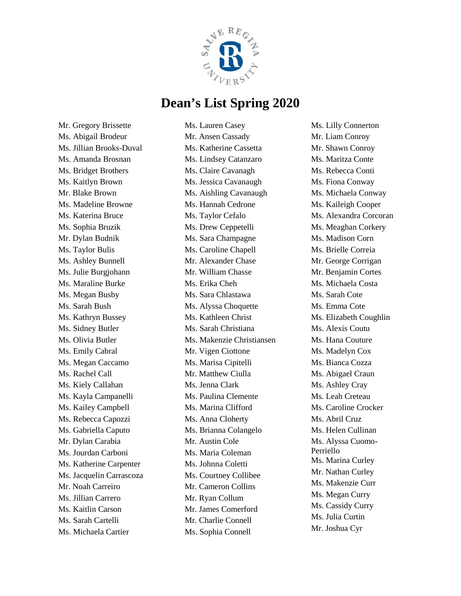

Mr. Gregory Brissette Ms. Abigail Brodeur Ms. Jillian Brooks-Duval Ms. Amanda Brosnan Ms. Bridget Brothers Ms. Kaitlyn Brown Mr. Blake Brown Ms. Madeline Browne Ms. Katerina Bruce Ms. Sophia Bruzik Mr. Dylan Budnik Ms. Taylor Bulis Ms. Ashley Bunnell Ms. Julie Burgjohann Ms. Maraline Burke Ms. Megan Busby Ms. Sarah Bush Ms. Kathryn Bussey Ms. Sidney Butler Ms. Olivia Butler Ms. Emily Cabral Ms. Megan Caccamo Ms. Rachel Call Ms. Kiely Callahan Ms. Kayla Campanelli Ms. Kailey Campbell Ms. Rebecca Capozzi Ms. Gabriella Caputo Mr. Dylan Carabia Ms. Jourdan Carboni Ms. Katherine Carpenter Ms. Jacquelin Carrascoza Mr. Noah Carreiro Ms. Jillian Carrero Ms. Kaitlin Carson Ms. Sarah Cartelli Ms. Michaela Cartier

Ms. Lauren Casey Mr. Ansen Cassady Ms. Katherine Cassetta Ms. Lindsey Catanzaro Ms. Claire Cavanagh Ms. Jessica Cavanaugh Ms. Aishling Cavanaugh Ms. Hannah Cedrone Ms. Taylor Cefalo Ms. Drew Ceppetelli Ms. Sara Champagne Ms. Caroline Chapell Mr. Alexander Chase Mr. William Chasse Ms. Erika Cheh Ms. Sara Chlastawa Ms. Alyssa Choquette Ms. Kathleen Christ Ms. Sarah Christiana Ms. Makenzie Christiansen Mr. Vigen Ciottone Ms. Marisa Cipitelli Mr. Matthew Ciulla Ms. Jenna Clark Ms. Paulina Clemente Ms. Marina Clifford Ms. Anna Cloherty Ms. Brianna Colangelo Mr. Austin Cole Ms. Maria Coleman Ms. Johnna Coletti Ms. Courtney Collibee Mr. Cameron Collins Mr. Ryan Collum Mr. James Comerford Mr. Charlie Connell Ms. Sophia Connell

Ms. Lilly Connerton Mr. Liam Conroy Mr. Shawn Conroy Ms. Maritza Conte Ms. Rebecca Conti Ms. Fiona Conway Ms. Michaela Conway Ms. Kaileigh Cooper Ms. Alexandra Corcoran Ms. Meaghan Corkery Ms. Madison Corn Ms. Brielle Correia Mr. George Corrigan Mr. Benjamin Cortes Ms. Michaela Costa Ms. Sarah Cote Ms. Emma Cote Ms. Elizabeth Coughlin Ms. Alexis Coutu Ms. Hana Couture Ms. Madelyn Cox Ms. Bianca Cozza Ms. Abigael Craun Ms. Ashley Cray Ms. Leah Creteau Ms. Caroline Crocker Ms. Abril Cruz Ms. Helen Cullinan Ms. Alyssa Cuomo-Perriello Ms. Marina Curley Mr. Nathan Curley Ms. Makenzie Curr Ms. Megan Curry Ms. Cassidy Curry Ms. Julia Curtin Mr. Joshua Cyr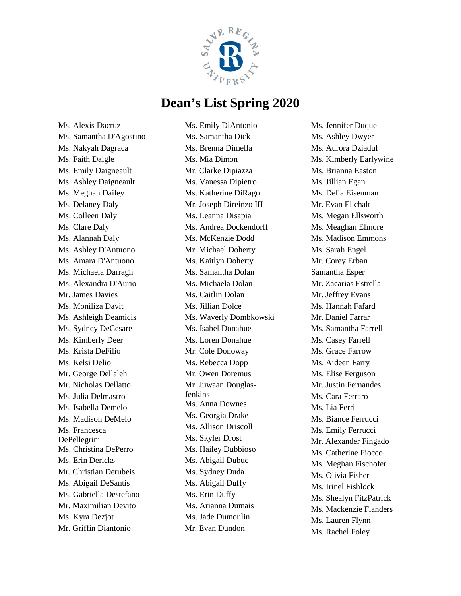

Ms. Alexis Dacruz Ms. Samantha D'Agostino Ms. Nakyah Dagraca Ms. Faith Daigle Ms. Emily Daigneault Ms. Ashley Daigneault Ms. Meghan Dailey Ms. Delaney Daly Ms. Colleen Daly Ms. Clare Daly Ms. Alannah Daly Ms. Ashley D'Antuono Ms. Amara D'Antuono Ms. Michaela Darragh Ms. Alexandra D'Aurio Mr. James Davies Ms. Moniliza Davit Ms. Ashleigh Deamicis Ms. Sydney DeCesare Ms. Kimberly Deer Ms. Krista DeFilio Ms. Kelsi Delio Mr. George Dellaleh Mr. Nicholas Dellatto Ms. Julia Delmastro Ms. Isabella Demelo Ms. Madison DeMelo Ms. Francesca DePellegrini Ms. Christina DePerro Ms. Erin Dericks Mr. Christian Derubeis Ms. Abigail DeSantis Ms. Gabriella Destefano Mr. Maximilian Devito Ms. Kyra Dezjot Mr. Griffin Diantonio

Ms. Emily DiAntonio Ms. Samantha Dick Ms. Brenna Dimella Ms. Mia Dimon Mr. Clarke Dipiazza Ms. Vanessa Dipietro Ms. Katherine DiRago Mr. Joseph Direinzo III Ms. Leanna Disapia Ms. Andrea Dockendorff Ms. McKenzie Dodd Mr. Michael Doherty Ms. Kaitlyn Doherty Ms. Samantha Dolan Ms. Michaela Dolan Ms. Caitlin Dolan Ms. Jillian Dolce Ms. Waverly Dombkowski Ms. Isabel Donahue Ms. Loren Donahue Mr. Cole Donoway Ms. Rebecca Dopp Mr. Owen Doremus Mr. Juwaan Douglas-Jenkins Ms. Anna Downes Ms. Georgia Drake Ms. Allison Driscoll Ms. Skyler Drost Ms. Hailey Dubbioso Ms. Abigail Dubuc Ms. Sydney Duda Ms. Abigail Duffy Ms. Erin Duffy Ms. Arianna Dumais Ms. Jade Dumoulin Mr. Evan Dundon

Ms. Jennifer Duque Ms. Ashley Dwyer Ms. Aurora Dziadul Ms. Kimberly Earlywine Ms. Brianna Easton Ms. Jillian Egan Ms. Delia Eisenman Mr. Evan Elichalt Ms. Megan Ellsworth Ms. Meaghan Elmore Ms. Madison Emmons Ms. Sarah Engel Mr. Corey Erban Samantha Esper Mr. Zacarias Estrella Mr. Jeffrey Evans Ms. Hannah Fafard Mr. Daniel Farrar Ms. Samantha Farrell Ms. Casey Farrell Ms. Grace Farrow Ms. Aideen Farry Ms. Elise Ferguson Mr. Justin Fernandes Ms. Cara Ferraro Ms. Lia Ferri Ms. Biance Ferrucci Ms. Emily Ferrucci Mr. Alexander Fingado Ms. Catherine Fiocco Ms. Meghan Fischofer Ms. Olivia Fisher Ms. Irinel Fishlock Ms. Shealyn FitzPatrick Ms. Mackenzie Flanders Ms. Lauren Flynn Ms. Rachel Foley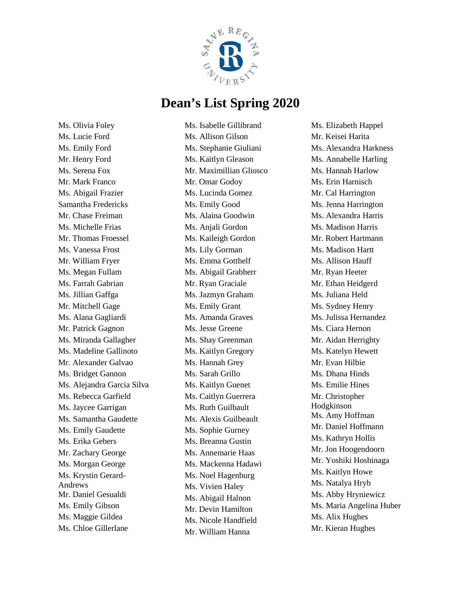

Ms. Olivia Foley Ms. Lucie Ford Ms. Emily Ford Mr. Henry Ford Ms. Serena Fox Mr. Mark Franco Ms. Abigail Frazier Samantha Fredericks Mr. Chase Freiman Ms. Michelle Frias Mr. Thomas Froessel Ms. Vanessa Frost Mr. William Fryer Ms. Megan Fullam Ms. Farrah Gabrian Ms. Jillian Gaffga Mr. Mitchell Gage Ms. Alana Gagliardi Mr. Patrick Gagnon Ms. Miranda Gallagher Ms. Madeline Gallinoto Mr. Alexander Galvao Ms. Bridget Gannon Ms. Alejandra Garcia Silva Ms. Rebecca Garfield Ms. Jaycee Garrigan Ms. Samantha Gaudette Ms. Emily Gaudette Ms. Erika Gebers Mr. Zachary George Ms. Morgan George Ms. Krystin Gerard-Andrews Mr. Daniel Gesualdi Ms. Emily Gibson Ms. Maggie Gildea Ms. Chloe Gillerlane

Ms. Isabelle Gillibrand Ms. Allison Gilson Ms. Stephanie Giuliani Ms. Kaitlyn Gleason Mr. Maximillian Gliosco Mr. Omar Godoy Ms. Lucinda Gomez Ms. Emily Good Ms. Alaina Goodwin Ms. Anjali Gordon Ms. Kaileigh Gordon Ms. Lily Gorman Ms. Emma Gotthelf Ms. Abigail Grabherr Mr. Ryan Graciale Ms. Jazmyn Graham Ms. Emily Grant Ms. Amanda Graves Ms. Jesse Greene Ms. Shay Greenman Ms. Kaitlyn Gregory Ms. Hannah Grey Ms. Sarah Grillo Ms. Kaitlyn Guenet Ms. Caitlyn Guerrera Ms. Ruth Guilbault Ms. Alexis Guilbeault Ms. Sophie Gurney Ms. Breanna Gustin Ms. Annemarie Haas Ms. Mackenna Hadawi Ms. Noel Hagenburg Ms. Vivien Haley Ms. Abigail Halnon Mr. Devin Hamilton Ms. Nicole Handfield Mr. William Hanna

Ms. Elizabeth Happel Mr. Keisei Harita Ms. Alexandra Harkness Ms. Annabelle Harling Ms. Hannah Harlow Ms. Erin Harnisch Mr. Cal Harrington Ms. Jenna Harrington Ms. Alexandra Harris Ms. Madison Harris Mr. Robert Hartmann Ms. Madison Hartt Ms. Allison Hauff Mr. Ryan Heeter Mr. Ethan Heidgerd Ms. Juliana Held Ms. Sydney Henry Ms. Julissa Hernandez Ms. Ciara Hernon Mr. Aidan Herrighty Ms. Katelyn Hewett Mr. Evan Hilbie Ms. Dhana Hinds Ms. Emilie Hines Mr. Christopher Hodgkinson Ms. Amy Hoffman Mr. Daniel Hoffmann Ms. Kathryn Hollis Mr. Jon Hoogendoorn Mr. Yoshiki Hoshinaga Ms. Kaitlyn Howe Ms. Natalya Hryb Ms. Abby Hryniewicz Ms. Maria Angelina Huber Ms. Alix Hughes Mr. Kieran Hughes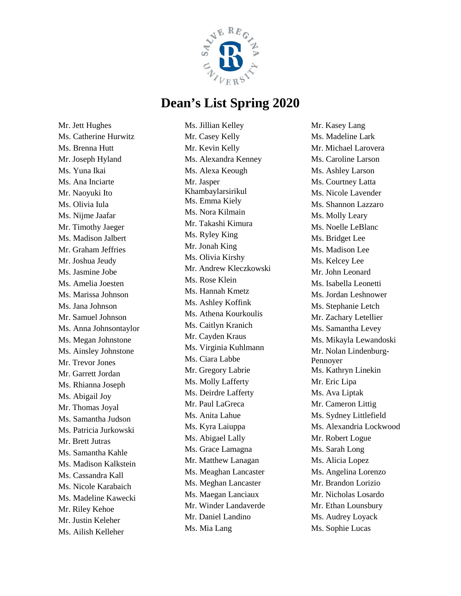

Mr. Jett Hughes Ms. Catherine Hurwitz Ms. Brenna Hutt Mr. Joseph Hyland Ms. Yuna Ikai Ms. Ana Inciarte Mr. Naoyuki Ito Ms. Olivia Iula Ms. Nijme Jaafar Mr. Timothy Jaeger Ms. Madison Jalbert Mr. Graham Jeffries Mr. Joshua Jeudy Ms. Jasmine Jobe Ms. Amelia Joesten Ms. Marissa Johnson Ms. Jana Johnson Mr. Samuel Johnson Ms. Anna Johnsontaylor Ms. Megan Johnstone Ms. Ainsley Johnstone Mr. Trevor Jones Mr. Garrett Jordan Ms. Rhianna Joseph Ms. Abigail Joy Mr. Thomas Joyal Ms. Samantha Judson Ms. Patricia Jurkowski Mr. Brett Jutras Ms. Samantha Kahle Ms. Madison Kalkstein Ms. Cassandra Kall Ms. Nicole Karabaich Ms. Madeline Kawecki Mr. Riley Kehoe Mr. Justin Keleher Ms. Ailish Kelleher

Ms. Jillian Kelley Mr. Casey Kelly Mr. Kevin Kelly Ms. Alexandra Kenney Ms. Alexa Keough Mr. Jasper Khambaylarsirikul Ms. Emma Kiely Ms. Nora Kilmain Mr. Takashi Kimura Ms. Ryley King Mr. Jonah King Ms. Olivia Kirshy Mr. Andrew Kleczkowski Ms. Rose Klein Ms. Hannah Kmetz Ms. Ashley Koffink Ms. Athena Kourkoulis Ms. Caitlyn Kranich Mr. Cayden Kraus Ms. Virginia Kuhlmann Ms. Ciara Labbe Mr. Gregory Labrie Ms. Molly Lafferty Ms. Deirdre Lafferty Mr. Paul LaGreca Ms. Anita Lahue Ms. Kyra Laiuppa Ms. Abigael Lally Ms. Grace Lamagna Mr. Matthew Lanagan Ms. Meaghan Lancaster Ms. Meghan Lancaster Ms. Maegan Lanciaux Mr. Winder Landaverde Mr. Daniel Landino Ms. Mia Lang

Mr. Kasey Lang Ms. Madeline Lark Mr. Michael Larovera Ms. Caroline Larson Ms. Ashley Larson Ms. Courtney Latta Ms. Nicole Lavender Ms. Shannon Lazzaro Ms. Molly Leary Ms. Noelle LeBlanc Ms. Bridget Lee Ms. Madison Lee Ms. Kelcey Lee Mr. John Leonard Ms. Isabella Leonetti Ms. Jordan Leshnower Ms. Stephanie Letch Mr. Zachary Letellier Ms. Samantha Levey Ms. Mikayla Lewandoski Mr. Nolan Lindenburg-Pennoyer Ms. Kathryn Linekin Mr. Eric Lipa Ms. Ava Liptak Mr. Cameron Littig Ms. Sydney Littlefield Ms. Alexandria Lockwood Mr. Robert Logue Ms. Sarah Long Ms. Alicia Lopez Ms. Angelina Lorenzo Mr. Brandon Lorizio Mr. Nicholas Losardo Mr. Ethan Lounsbury Ms. Audrey Loyack Ms. Sophie Lucas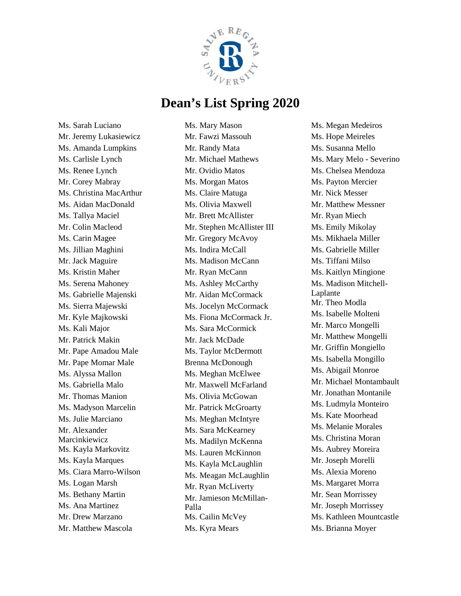

Ms. Sarah Luciano Mr. Jeremy Lukasiewicz Ms. Amanda Lumpkins Ms. Carlisle Lynch Ms. Renee Lynch Mr. Corey Mabray Ms. Christina MacArthur Ms. Aidan MacDonald Ms. Tallya Maciel Mr. Colin Macleod Ms. Carin Magee Ms. Jillian Maghini Mr. Jack Maguire Ms. Kristin Maher Ms. Serena Mahoney Ms. Gabrielle Majenski Ms. Sierra Majewski Mr. Kyle Majkowski Ms. Kali Major Mr. Patrick Makin Mr. Pape Amadou Male Mr. Pape Momar Male Ms. Alyssa Mallon Ms. Gabriella Malo Mr. Thomas Manion Ms. Madyson Marcelin Ms. Julie Marciano Mr. Alexander Marcinkiewicz Ms. Kayla Markovitz Ms. Kayla Marques Ms. Ciara Marro-Wilson Ms. Logan Marsh Ms. Bethany Martin Ms. Ana Martinez Mr. Drew Marzano Mr. Matthew Mascola

Ms. Mary Mason Mr. Fawzi Massouh Mr. Randy Mata Mr. Michael Mathews Mr. Ovidio Matos Ms. Morgan Matos Ms. Claire Matuga Ms. Olivia Maxwell Mr. Brett McAllister Mr. Stephen McAllister III Mr. Gregory McAvoy Ms. Indira McCall Ms. Madison McCann Mr. Ryan McCann Ms. Ashley McCarthy Mr. Aidan McCormack Ms. Jocelyn McCormack Ms. Fiona McCormack Jr. Ms. Sara McCormick Mr. Jack McDade Ms. Taylor McDermott Brenna McDonough Ms. Meghan McElwee Mr. Maxwell McFarland Ms. Olivia McGowan Mr. Patrick McGroarty Ms. Meghan McIntyre Ms. Sara McKearney Ms. Madilyn McKenna Ms. Lauren McKinnon Ms. Kayla McLaughlin Ms. Meagan McLaughlin Mr. Ryan McLiverty Mr. Jamieson McMillan-Palla Ms. Cailin McVey Ms. Kyra Mears

Ms. Megan Medeiros Ms. Hope Meireles Ms. Susanna Mello Ms. Mary Melo - Severino Ms. Chelsea Mendoza Ms. Payton Mercier Mr. Nick Messer Mr. Matthew Messner Mr. Ryan Miech Ms. Emily Mikolay Ms. Mikhaela Miller Ms. Gabrielle Miller Ms. Tiffani Milso Ms. Kaitlyn Mingione Ms. Madison Mitchell-Laplante Mr. Theo Modla Ms. Isabelle Molteni Mr. Marco Mongelli Mr. Matthew Mongelli Mr. Griffin Mongiello Ms. Isabella Mongillo Ms. Abigail Monroe Mr. Michael Montambault Mr. Jonathan Montanile Ms. Ludmyla Monteiro Ms. Kate Moorhead Ms. Melanie Morales Ms. Christina Moran Ms. Aubrey Moreira Mr. Joseph Morelli Ms. Alexia Moreno Ms. Margaret Morra Mr. Sean Morrissey Mr. Joseph Morrissey Ms. Kathleen Mountcastle Ms. Brianna Moyer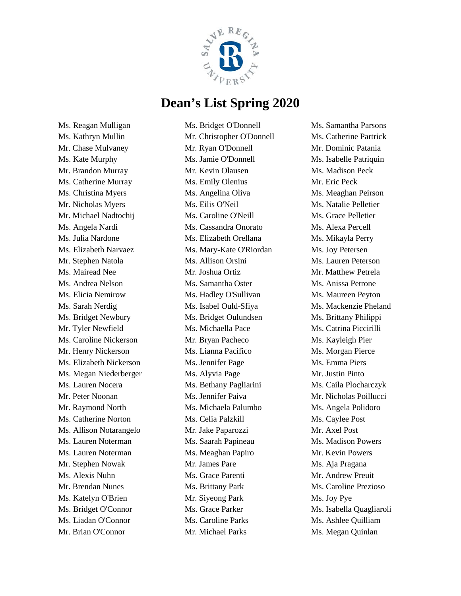

Ms. Reagan Mulligan Ms. Kathryn Mullin Mr. Chase Mulvaney Ms. Kate Murphy Mr. Brandon Murray Ms. Catherine Murray Ms. Christina Myers Mr. Nicholas Myers Mr. Michael Nadtochij Ms. Angela Nardi Ms. Julia Nardone Ms. Elizabeth Narvaez Mr. Stephen Natola Ms. Mairead Nee Ms. Andrea Nelson Ms. Elicia Nemirow Ms. Sarah Nerdig Ms. Bridget Newbury Mr. Tyler Newfield Ms. Caroline Nickerson Mr. Henry Nickerson Ms. Elizabeth Nickerson Ms. Megan Niederberger Ms. Lauren Nocera Mr. Peter Noonan Mr. Raymond North Ms. Catherine Norton Ms. Allison Notarangelo Ms. Lauren Noterman Ms. Lauren Noterman Mr. Stephen Nowak Ms. Alexis Nuhn Mr. Brendan Nunes Ms. Katelyn O'Brien Ms. Bridget O'Connor Ms. Liadan O'Connor Mr. Brian O'Connor

Ms. Bridget O'Donnell Mr. Christopher O'Donnell Mr. Ryan O'Donnell Ms. Jamie O'Donnell Mr. Kevin Olausen Ms. Emily Olenius Ms. Angelina Oliva Ms. Eilis O'Neil Ms. Caroline O'Neill Ms. Cassandra Onorato Ms. Elizabeth Orellana Ms. Mary-Kate O'Riordan Ms. Allison Orsini Mr. Joshua Ortiz Ms. Samantha Oster Ms. Hadley O'Sullivan Ms. Isabel Ould-Sfiya Ms. Bridget Oulundsen Ms. Michaella Pace Mr. Bryan Pacheco Ms. Lianna Pacifico Ms. Jennifer Page Ms. Alyvia Page Ms. Bethany Pagliarini Ms. Jennifer Paiva Ms. Michaela Palumbo Ms. Celia Palzkill Mr. Jake Paparozzi Ms. Saarah Papineau Ms. Meaghan Papiro Mr. James Pare Ms. Grace Parenti Ms. Brittany Park Mr. Siyeong Park Ms. Grace Parker Ms. Caroline Parks Mr. Michael Parks

Ms. Samantha Parsons Ms. Catherine Partrick Mr. Dominic Patania Ms. Isabelle Patriquin Ms. Madison Peck Mr. Eric Peck Ms. Meaghan Peirson Ms. Natalie Pelletier Ms. Grace Pelletier Ms. Alexa Percell Ms. Mikayla Perry Ms. Joy Petersen Ms. Lauren Peterson Mr. Matthew Petrela Ms. Anissa Petrone Ms. Maureen Peyton Ms. Mackenzie Pheland Ms. Brittany Philippi Ms. Catrina Piccirilli Ms. Kayleigh Pier Ms. Morgan Pierce Ms. Emma Piers Mr. Justin Pinto Ms. Caila Plocharczyk Mr. Nicholas Poillucci Ms. Angela Polidoro Ms. Caylee Post Mr. Axel Post Ms. Madison Powers Mr. Kevin Powers Ms. Aja Pragana Mr. Andrew Preuit Ms. Caroline Prezioso Ms. Joy Pye Ms. Isabella Quagliaroli Ms. Ashlee Quilliam Ms. Megan Quinlan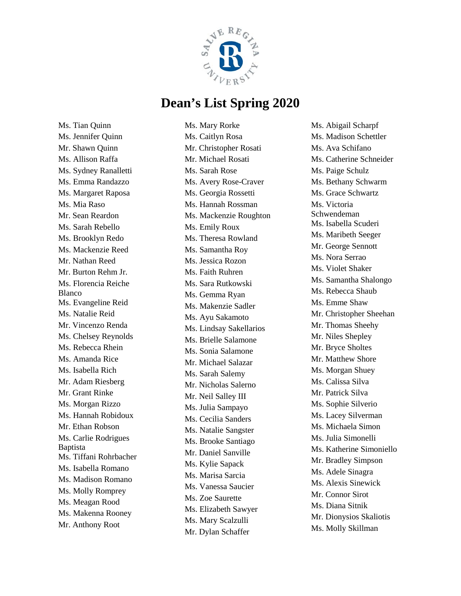

Ms. Tian Quinn Ms. Jennifer Quinn Mr. Shawn Quinn Ms. Allison Raffa Ms. Sydney Ranalletti Ms. Emma Randazzo Ms. Margaret Raposa Ms. Mia Raso Mr. Sean Reardon Ms. Sarah Rebello Ms. Brooklyn Redo Ms. Mackenzie Reed Mr. Nathan Reed Mr. Burton Rehm Jr. Ms. Florencia Reiche Blanco Ms. Evangeline Reid Ms. Natalie Reid Mr. Vincenzo Renda Ms. Chelsey Reynolds Ms. Rebecca Rhein Ms. Amanda Rice Ms. Isabella Rich Mr. Adam Riesberg Mr. Grant Rinke Ms. Morgan Rizzo Ms. Hannah Robidoux Mr. Ethan Robson Ms. Carlie Rodrigues Baptista Ms. Tiffani Rohrbacher Ms. Isabella Romano Ms. Madison Romano Ms. Molly Romprey Ms. Meagan Rood Ms. Makenna Rooney Mr. Anthony Root

Ms. Mary Rorke Ms. Caitlyn Rosa Mr. Christopher Rosati Mr. Michael Rosati Ms. Sarah Rose Ms. Avery Rose-Craver Ms. Georgia Rossetti Ms. Hannah Rossman Ms. Mackenzie Roughton Ms. Emily Roux Ms. Theresa Rowland Ms. Samantha Roy Ms. Jessica Rozon Ms. Faith Ruhren Ms. Sara Rutkowski Ms. Gemma Ryan Ms. Makenzie Sadler Ms. Ayu Sakamoto Ms. Lindsay Sakellarios Ms. Brielle Salamone Ms. Sonia Salamone Mr. Michael Salazar Ms. Sarah Salemy Mr. Nicholas Salerno Mr. Neil Salley III Ms. Julia Sampayo Ms. Cecilia Sanders Ms. Natalie Sangster Ms. Brooke Santiago Mr. Daniel Sanville Ms. Kylie Sapack Ms. Marisa Sarcia Ms. Vanessa Saucier Ms. Zoe Saurette Ms. Elizabeth Sawyer Ms. Mary Scalzulli Mr. Dylan Schaffer

Ms. Abigail Scharpf Ms. Madison Schettler Ms. Ava Schifano Ms. Catherine Schneider Ms. Paige Schulz Ms. Bethany Schwarm Ms. Grace Schwartz Ms. Victoria Schwendeman Ms. Isabella Scuderi Ms. Maribeth Seeger Mr. George Sennott Ms. Nora Serrao Ms. Violet Shaker Ms. Samantha Shalongo Ms. Rebecca Shaub Ms. Emme Shaw Mr. Christopher Sheehan Mr. Thomas Sheehy Mr. Niles Shepley Mr. Bryce Sholtes Mr. Matthew Shore Ms. Morgan Shuey Ms. Calissa Silva Mr. Patrick Silva Ms. Sophie Silverio Ms. Lacey Silverman Ms. Michaela Simon Ms. Julia Simonelli Ms. Katherine Simoniello Mr. Bradley Simpson Ms. Adele Sinagra Ms. Alexis Sinewick Mr. Connor Sirot Ms. Diana Sitnik Mr. Dionysios Skaliotis Ms. Molly Skillman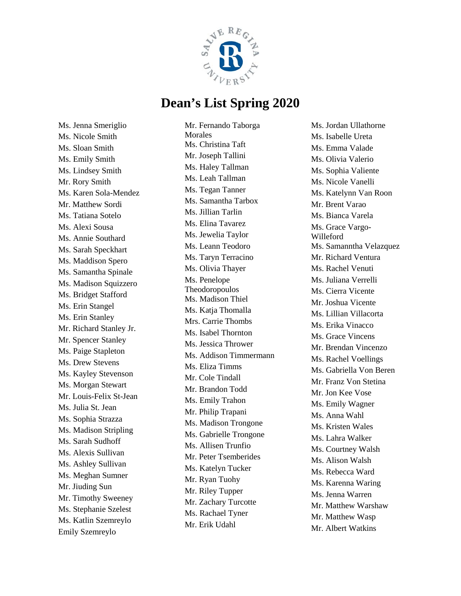

Ms. Jenna Smeriglio Ms. Nicole Smith Ms. Sloan Smith Ms. Emily Smith Ms. Lindsey Smith Mr. Rory Smith Ms. Karen Sola-Mendez Mr. Matthew Sordi Ms. Tatiana Sotelo Ms. Alexi Sousa Ms. Annie Southard Ms. Sarah Speckhart Ms. Maddison Spero Ms. Samantha Spinale Ms. Madison Squizzero Ms. Bridget Stafford Ms. Erin Stangel Ms. Erin Stanley Mr. Richard Stanley Jr. Mr. Spencer Stanley Ms. Paige Stapleton Ms. Drew Stevens Ms. Kayley Stevenson Ms. Morgan Stewart Mr. Louis-Felix St-Jean Ms. Julia St. Jean Ms. Sophia Strazza Ms. Madison Stripling Ms. Sarah Sudhoff Ms. Alexis Sullivan Ms. Ashley Sullivan Ms. Meghan Sumner Mr. Jiuding Sun Mr. Timothy Sweeney Ms. Stephanie Szelest Ms. Katlin Szemreylo Emily Szemreylo

Mr. Fernando Taborga Morales Ms. Christina Taft Mr. Joseph Tallini Ms. Haley Tallman Ms. Leah Tallman Ms. Tegan Tanner Ms. Samantha Tarbox Ms. Jillian Tarlin Ms. Elina Tavarez Ms. Jewelia Taylor Ms. Leann Teodoro Ms. Taryn Terracino Ms. Olivia Thayer Ms. Penelope Theodoropoulos Ms. Madison Thiel Ms. Katia Thomalla Mrs. Carrie Thombs Ms. Isabel Thornton Ms. Jessica Thrower Ms. Addison Timmermann Ms. Eliza Timms Mr. Cole Tindall Mr. Brandon Todd Ms. Emily Trahon Mr. Philip Trapani Ms. Madison Trongone Ms. Gabrielle Trongone Ms. Allisen Trunfio Mr. Peter Tsemberides Ms. Katelyn Tucker Mr. Ryan Tuohy Mr. Riley Tupper Mr. Zachary Turcotte Ms. Rachael Tyner Mr. Erik Udahl

Ms. Jordan Ullathorne Ms. Isabelle Ureta Ms. Emma Valade Ms. Olivia Valerio Ms. Sophia Valiente Ms. Nicole Vanelli Ms. Katelynn Van Roon Mr. Brent Varao Ms. Bianca Varela Ms. Grace Vargo-Willeford Ms. Samanntha Velazquez Mr. Richard Ventura Ms. Rachel Venuti Ms. Juliana Verrelli Ms. Cierra Vicente Mr. Joshua Vicente Ms. Lillian Villacorta Ms. Erika Vinacco Ms. Grace Vincens Mr. Brendan Vincenzo Ms. Rachel Voellings Ms. Gabriella Von Beren Mr. Franz Von Stetina Mr. Jon Kee Vose Ms. Emily Wagner Ms. Anna Wahl Ms. Kristen Wales Ms. Lahra Walker Ms. Courtney Walsh Ms. Alison Walsh Ms. Rebecca Ward Ms. Karenna Waring Ms. Jenna Warren Mr. Matthew Warshaw Mr. Matthew Wasp Mr. Albert Watkins